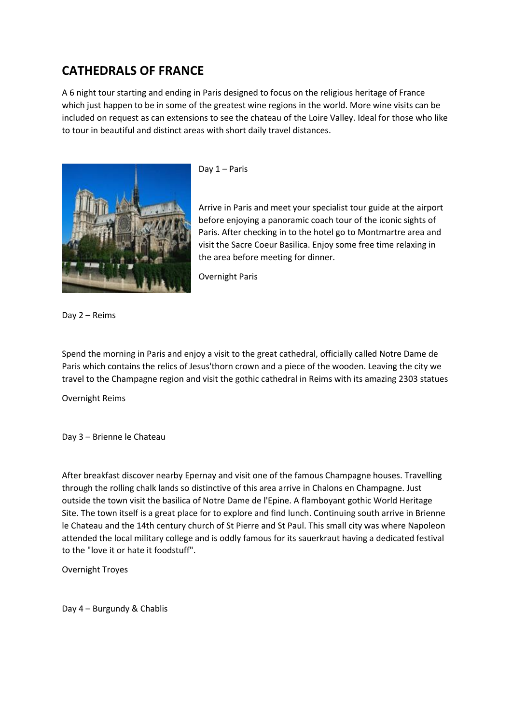## **CATHEDRALS OF FRANCE**

A 6 night tour starting and ending in Paris designed to focus on the religious heritage of France which just happen to be in some of the greatest wine regions in the world. More wine visits can be included on request as can extensions to see the chateau of the Loire Valley. Ideal for those who like to tour in beautiful and distinct areas with short daily travel distances.



Day 1 – Paris

Arrive in Paris and meet your specialist tour guide at the airport before enjoying a panoramic coach tour of the iconic sights of Paris. After checking in to the hotel go to Montmartre area and visit the Sacre Coeur Basilica. Enjoy some free time relaxing in the area before meeting for dinner.

Overnight Paris

Day 2 – Reims

Spend the morning in Paris and enjoy a visit to the great cathedral, officially called Notre Dame de Paris which contains the relics of Jesus'thorn crown and a piece of the wooden. Leaving the city we travel to the Champagne region and visit the gothic cathedral in Reims with its amazing 2303 statues

Overnight Reims

Day 3 – Brienne le Chateau

After breakfast discover nearby Epernay and visit one of the famous Champagne houses. Travelling through the rolling chalk lands so distinctive of this area arrive in Chalons en Champagne. Just outside the town visit the basilica of Notre Dame de l'Epine. A flamboyant gothic World Heritage Site. The town itself is a great place for to explore and find lunch. Continuing south arrive in Brienne le Chateau and the 14th century church of St Pierre and St Paul. This small city was where Napoleon attended the local military college and is oddly famous for its sauerkraut having a dedicated festival to the "love it or hate it foodstuff".

Overnight Troyes

Day 4 – Burgundy & Chablis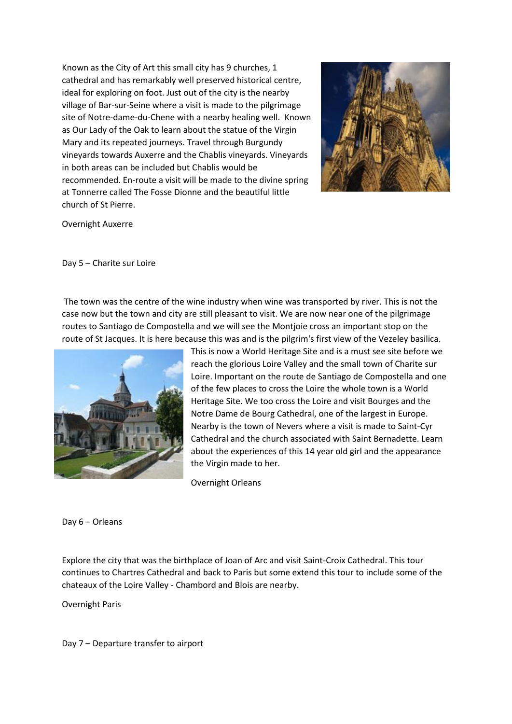Known as the City of Art this small city has 9 churches, 1 cathedral and has remarkably well preserved historical centre, ideal for exploring on foot. Just out of the city is the nearby village of Bar-sur-Seine where a visit is made to the pilgrimage site of Notre-dame-du-Chene with a nearby healing well. Known as Our Lady of the Oak to learn about the statue of the Virgin Mary and its repeated journeys. Travel through Burgundy vineyards towards Auxerre and the Chablis vineyards. Vineyards in both areas can be included but Chablis would be recommended. En-route a visit will be made to the divine spring at Tonnerre called The Fosse Dionne and the beautiful little church of St Pierre.



Overnight Auxerre

Day 5 – Charite sur Loire

The town was the centre of the wine industry when wine was transported by river. This is not the case now but the town and city are still pleasant to visit. We are now near one of the pilgrimage routes to Santiago de Compostella and we will see the Montjoie cross an important stop on the route of St Jacques. It is here because this was and is the pilgrim's first view of the Vezeley basilica.



This is now a World Heritage Site and is a must see site before we reach the glorious Loire Valley and the small town of Charite sur Loire. Important on the route de Santiago de Compostella and one of the few places to cross the Loire the whole town is a World Heritage Site. We too cross the Loire and visit Bourges and the Notre Dame de Bourg Cathedral, one of the largest in Europe. Nearby is the town of Nevers where a visit is made to Saint-Cyr Cathedral and the church associated with Saint Bernadette. Learn about the experiences of this 14 year old girl and the appearance the Virgin made to her.

Overnight Orleans

Day 6 – Orleans

Explore the city that was the birthplace of Joan of Arc and visit Saint-Croix Cathedral. This tour continues to Chartres Cathedral and back to Paris but some extend this tour to include some of the chateaux of the Loire Valley - Chambord and Blois are nearby.

Overnight Paris

Day 7 – Departure transfer to airport